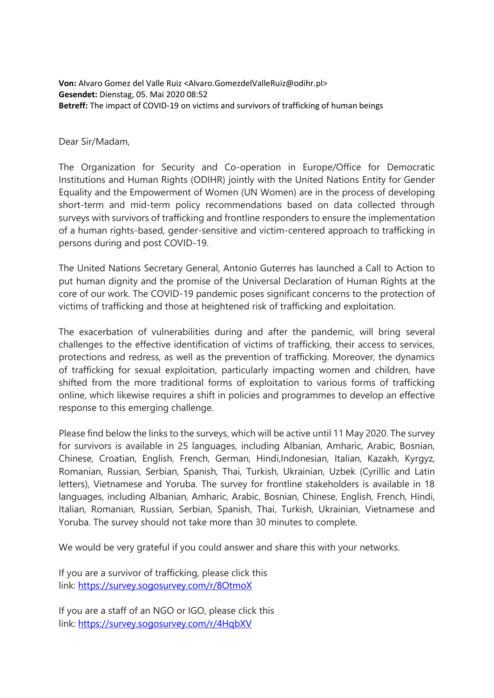**Von:** Alvaro Gomez del Valle Ruiz <Alvaro.GomezdelValleRuiz@odihr.pl> **Gesendet:** Dienstag, 05. Mai 2020 08:52 **Betreff:** The impact of COVID-19 on victims and survivors of trafficking of human beings

Dear Sir/Madam,

The Organization for Security and Co-operation in Europe/Office for Democratic Institutions and Human Rights (ODIHR) jointly with the United Nations Entity for Gender Equality and the Empowerment of Women (UN Women) are in the process of developing short-term and mid-term policy recommendations based on data collected through surveys with survivors of trafficking and frontline responders to ensure the implementation of a human rights-based, gender-sensitive and victim-centered approach to trafficking in persons during and post COVID-19.

The United Nations Secretary General, Antonio Guterres has launched a Call to Action to put human dignity and the promise of the Universal Declaration of Human Rights at the core of our work. The COVID-19 pandemic poses significant concerns to the protection of victims of trafficking and those at heightened risk of trafficking and exploitation.

The exacerbation of vulnerabilities during and after the pandemic, will bring several challenges to the effective identification of victims of trafficking, their access to services, protections and redress, as well as the prevention of trafficking. Moreover, the dynamics of trafficking for sexual exploitation, particularly impacting women and children, have shifted from the more traditional forms of exploitation to various forms of trafficking online, which likewise requires a shift in policies and programmes to develop an effective response to this emerging challenge.

Please find below the links to the surveys, which will be active until 11 May 2020. The survey for survivors is available in 25 languages, including Albanian, Amharic, Arabic, Bosnian, Chinese, Croatian, English, French, German, Hindi,Indonesian, Italian, Kazakh, Kyrgyz, Romanian, Russian, Serbian, Spanish, Thai, Turkish, Ukrainian, Uzbek (Cyrillic and Latin letters), Vietnamese and Yoruba. The survey for frontline stakeholders is available in 18 languages, including Albanian, Amharic, Arabic, Bosnian, Chinese, English, French, Hindi, Italian, Romanian, Russian, Serbian, Spanish, Thai, Turkish, Ukrainian, Vietnamese and Yoruba. The survey should not take more than 30 minutes to complete.

We would be very grateful if you could answer and share this with your networks.

If you are a survivor of trafficking, please click this link: <https://survey.sogosurvey.com/r/8OtmoX>

If you are a staff of an NGO or IGO, please click this link: <https://survey.sogosurvey.com/r/4HqbXV>